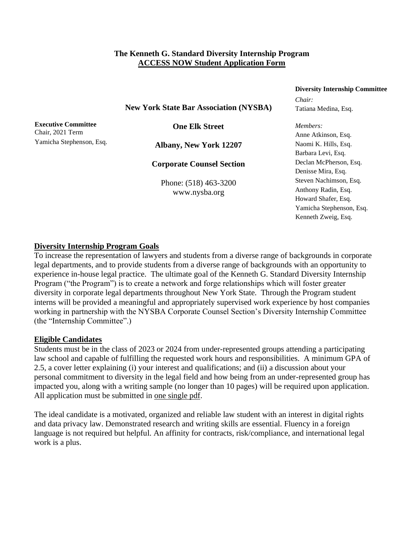## **The Kenneth G. Standard Diversity Internship Program ACCESS NOW Student Application Form**

# **Diversity Internship Committee**

*Chair:*

**New York State Bar Association (NYSBA)**

**Executive Committee** Chair, 2021 Term Yamicha Stephenson, Esq.

**One Elk Street**

**Albany, New York 12207**

**Corporate Counsel Section**

Phone: (518) 463-3200 www.nysba.org

# Tatiana Medina, Esq. *Members:* Anne Atkinson, Esq. Naomi K. Hills, Esq. Barbara Levi, Esq. Declan McPherson, Esq.

Denisse Mira, Esq. Steven Nachimson, Esq. Anthony Radin, Esq. Howard Shafer, Esq. Yamicha Stephenson, Esq. Kenneth Zweig, Esq.

## **Diversity Internship Program Goals**

To increase the representation of lawyers and students from a diverse range of backgrounds in corporate legal departments, and to provide students from a diverse range of backgrounds with an opportunity to experience in-house legal practice. The ultimate goal of the Kenneth G. Standard Diversity Internship Program ("the Program") is to create a network and forge relationships which will foster greater diversity in corporate legal departments throughout New York State. Through the Program student interns will be provided a meaningful and appropriately supervised work experience by host companies working in partnership with the NYSBA Corporate Counsel Section's Diversity Internship Committee (the "Internship Committee".)

### **Eligible Candidates**

Students must be in the class of 2023 or 2024 from under-represented groups attending a participating law school and capable of fulfilling the requested work hours and responsibilities. A minimum GPA of 2.5, a cover letter explaining (i) your interest and qualifications; and (ii) a discussion about your personal commitment to diversity in the legal field and how being from an under-represented group has impacted you, along with a writing sample (no longer than 10 pages) will be required upon application. All application must be submitted in one single pdf.

The ideal candidate is a motivated, organized and reliable law student with an interest in digital rights and data privacy law. Demonstrated research and writing skills are essential. Fluency in a foreign language is not required but helpful. An affinity for contracts, risk/compliance, and international legal work is a plus.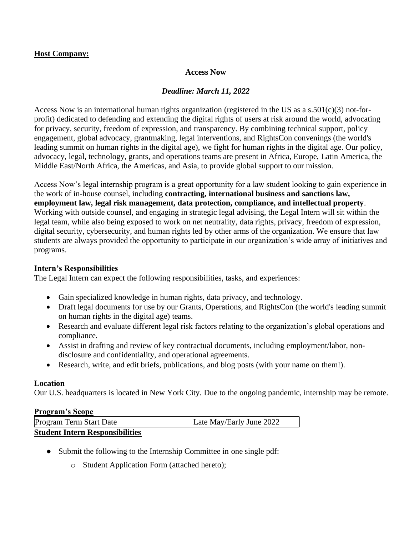## **Host Company:**

### **Access Now**

## *Deadline: March 11, 2022*

Access Now is an international human rights organization (registered in the US as a s.501(c)(3) not-forprofit) dedicated to defending and extending the digital rights of users at risk around the world, advocating for privacy, security, freedom of expression, and transparency. By combining technical support, policy engagement, global advocacy, grantmaking, legal interventions, and RightsCon convenings (the world's leading summit on human rights in the digital age), we fight for human rights in the digital age. Our policy, advocacy, legal, technology, grants, and operations teams are present in Africa, Europe, Latin America, the Middle East/North Africa, the Americas, and Asia, to provide global support to our mission.

Access Now's legal internship program is a great opportunity for a law student looking to gain experience in the work of in-house counsel, including **contracting, international business and sanctions law, employment law, legal risk management, data protection, compliance, and intellectual property**. Working with outside counsel, and engaging in strategic legal advising, the Legal Intern will sit within the legal team, while also being exposed to work on net neutrality, data rights, privacy, freedom of expression, digital security, cybersecurity, and human rights led by other arms of the organization. We ensure that law students are always provided the opportunity to participate in our organization's wide array of initiatives and programs.

## **Intern's Responsibilities**

The Legal Intern can expect the following responsibilities, tasks, and experiences:

- Gain specialized knowledge in human rights, data privacy, and technology.
- Draft legal documents for use by our Grants, Operations, and RightsCon (the world's leading summit on human rights in the digital age) teams.
- Research and evaluate different legal risk factors relating to the organization's global operations and compliance.
- Assist in drafting and review of key contractual documents, including employment/labor, nondisclosure and confidentiality, and operational agreements.
- Research, write, and edit briefs, publications, and blog posts (with your name on them!).

### **Location**

Our U.S. headquarters is located in New York City. Due to the ongoing pandemic, internship may be remote.

### **Program's Scope**

| Program Term Start Date                | Late May/Early June 2022 |
|----------------------------------------|--------------------------|
| <b>Student Intern Responsibilities</b> |                          |

- Submit the following to the Internship Committee in one single pdf:
	- o Student Application Form (attached hereto);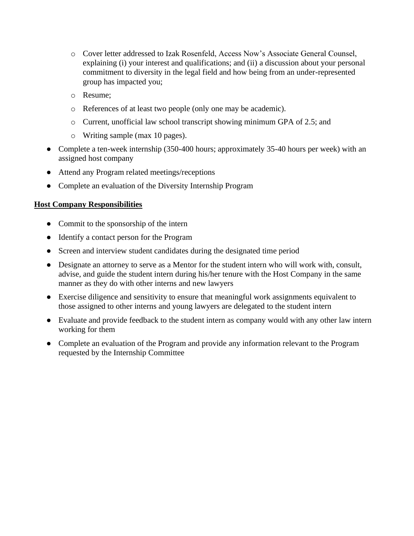- o Cover letter addressed to Izak Rosenfeld, Access Now's Associate General Counsel, explaining (i) your interest and qualifications; and (ii) a discussion about your personal commitment to diversity in the legal field and how being from an under-represented group has impacted you;
- o Resume;
- o References of at least two people (only one may be academic).
- o Current, unofficial law school transcript showing minimum GPA of 2.5; and
- o Writing sample (max 10 pages).
- Complete a ten-week internship (350-400 hours; approximately 35-40 hours per week) with an assigned host company
- Attend any Program related meetings/receptions
- Complete an evaluation of the Diversity Internship Program

## **Host Company Responsibilities**

- Commit to the sponsorship of the intern
- Identify a contact person for the Program
- Screen and interview student candidates during the designated time period
- Designate an attorney to serve as a Mentor for the student intern who will work with, consult, advise, and guide the student intern during his/her tenure with the Host Company in the same manner as they do with other interns and new lawyers
- Exercise diligence and sensitivity to ensure that meaningful work assignments equivalent to those assigned to other interns and young lawyers are delegated to the student intern
- Evaluate and provide feedback to the student intern as company would with any other law intern working for them
- Complete an evaluation of the Program and provide any information relevant to the Program requested by the Internship Committee